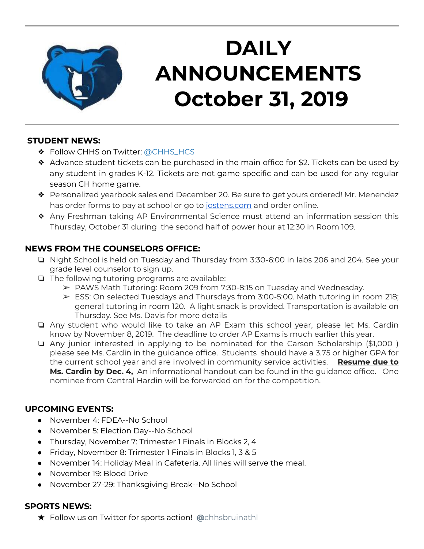

# **DAILY ANNOUNCEMENTS October 31, 2019**

#### **STUDENT NEWS:**

- ❖ Follow CHHS on Twitter: [@CHHS\\_HCS](https://twitter.com/CHHS_HCS)
- ❖ Advance student tickets can be purchased in the main office for \$2. Tickets can be used by any student in grades K-12. Tickets are not game specific and can be used for any regular season CH home game.
- ❖ Personalized yearbook sales end December 20. Be sure to get yours ordered! Mr. Menendez has order forms to pay at school or go to [jostens.com](http://jostens.com/) and order online.
- ❖ Any Freshman taking AP Environmental Science must attend an information session this Thursday, October 31 during the second half of power hour at 12:30 in Room 109.

### **NEWS FROM THE COUNSELORS OFFICE:**

- ❏ Night School is held on Tuesday and Thursday from 3:30-6:00 in labs 206 and 204. See your grade level counselor to sign up.
- ❏ The following tutoring programs are available:
	- $\triangleright$  PAWS Math Tutoring: Room 209 from 7:30-8:15 on Tuesday and Wednesday.
	- ➢ ESS: On selected Tuesdays and Thursdays from 3:00-5:00. Math tutoring in room 218; general tutoring in room 120. A light snack is provided. Transportation is available on Thursday. See Ms. Davis for more details
- ❏ Any student who would like to take an AP Exam this school year, please let Ms. Cardin know by November 8, 2019. The deadline to order AP Exams is much earlier this year.
- ❏ Any junior interested in applying to be nominated for the Carson Scholarship (\$1,000 ) please see Ms. Cardin in the guidance office. Students should have a 3.75 or higher GPA for the current school year and are involved in community service activities. **Resume due to Ms. Cardin by Dec. 4,** An informational handout can be found in the guidance office. One nominee from Central Hardin will be forwarded on for the competition.

#### **UPCOMING EVENTS:**

- November 4: FDEA--No School
- November 5: Election Day--No School
- Thursday, November 7: Trimester 1 Finals in Blocks 2, 4
- Friday, November 8: Trimester 1 Finals in Blocks 1, 3 & 5
- November 14: Holiday Meal in Cafeteria. All lines will serve the meal.
- November 19: Blood Drive
- November 27-29: Thanksgiving Break--No School

## **SPORTS NEWS:**

★ Follow us on Twitter for sports action! **[@](https://twitter.com/chhsbruinathl)**[chhsbruinathl](https://twitter.com/chhsbruinathl)